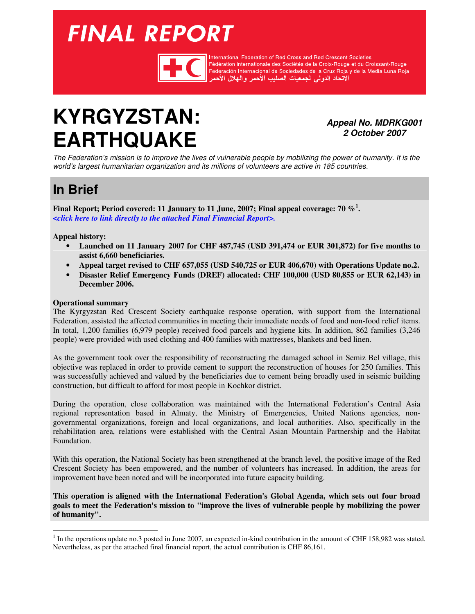# <span id="page-0-0"></span>**FINAL REPORT**



International Federation of Red Cross and Red Crescent Societies Fédération internationale des Sociétés de la Croix-Rouge et du Croissant-Rouge rederation internationale des obcietes de la Orbiz-Hodge et du Orbisant-Hodge<br>Federación Internacional de Sociedades de la Cruz Roja y de la Media Luna Roja<br>الاتحاد الدولي لجمعيات الصليب الأحمر والهلال الأحمر

# **KYRGYZSTAN: EARTHQUAKE**

**Appeal No. MDRKG001 2 October 2007** 

The Federation's mission is to improve the lives of vulnerable people by mobilizing the power of humanity. It is the world's largest humanitarian organization and its millions of volunteers are active in 185 countries.

# **In Brief**

**Final Report; Period covered: 11 January to 11 June, 2007; Final appeal coverage: 70 %<sup>1</sup> .**  *[<click here to link directly to the attached Final Financial Report>.](#page-6-0)*

**Appeal history:** 

- **Launched on 11 January 2007 for CHF 487,745 (USD 391,474 or EUR 301,872) for five months to assist 6,660 beneficiaries.**
- **Appeal target revised to CHF 657,055 (USD 540,725 or EUR 406,670) with Operations Update no.2.**
- **Disaster Relief Emergency Funds (DREF) allocated: CHF 100,000 (USD 80,855 or EUR 62,143) in December 2006.**

#### **Operational summary**

The Kyrgyzstan Red Crescent Society earthquake response operation, with support from the International Federation, assisted the affected communities in meeting their immediate needs of food and non-food relief items. In total, 1,200 families (6,979 people) received food parcels and hygiene kits. In addition, 862 families (3,246 people) were provided with used clothing and 400 families with mattresses, blankets and bed linen.

As the government took over the responsibility of reconstructing the damaged school in Semiz Bel village, this objective was replaced in order to provide cement to support the reconstruction of houses for 250 families. This was successfully achieved and valued by the beneficiaries due to cement being broadly used in seismic building construction, but difficult to afford for most people in Kochkor district.

During the operation, close collaboration was maintained with the International Federation's Central Asia regional representation based in Almaty, the Ministry of Emergencies, United Nations agencies, nongovernmental organizations, foreign and local organizations, and local authorities. Also, specifically in the rehabilitation area, relations were established with the Central Asian Mountain Partnership and the Habitat Foundation.

With this operation, the National Society has been strengthened at the branch level, the positive image of the Red Crescent Society has been empowered, and the number of volunteers has increased. In addition, the areas for improvement have been noted and will be incorporated into future capacity building.

**This operation is aligned with the International Federation's Global Agenda, which sets out four broad goals to meet the Federation's mission to "improve the lives of vulnerable people by mobilizing the power of humanity".** 

 $1$  In the operations update no.3 posted in June 2007, an expected in-kind contribution in the amount of CHF 158,982 was stated. Nevertheless, as per the attached final financial report, the actual contribution is CHF 86,161.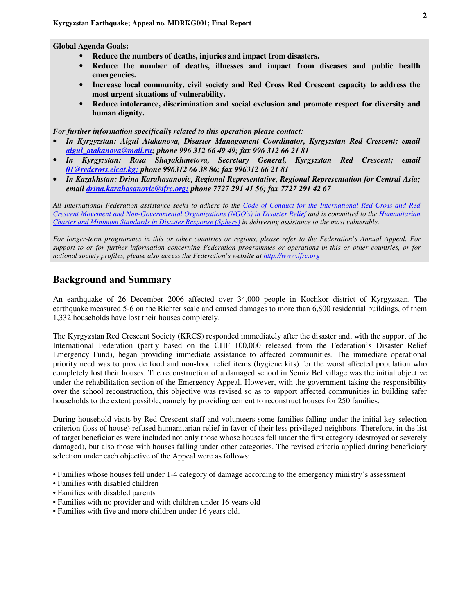**Global Agenda Goals:** 

- **Reduce the numbers of deaths, injuries and impact from disasters.**
- **Reduce the number of deaths, illnesses and impact from diseases and public health emergencies.**
- **Increase local community, civil society and Red Cross Red Crescent capacity to address the most urgent situations of vulnerability.**
- **Reduce intolerance, discrimination and social exclusion and promote respect for diversity and human dignity.**

#### *For further information specifically related to this operation please contact:*

- *In Kyrgyzstan: Aigul Atakanova, Disaster Management Coordinator, Kyrgyzstan Red Crescent; email aigul\_atakanova@mail.ru; phone 996 312 66 49 49; fax 996 312 66 21 81*
- *In Kyrgyzstan: Rosa Shayakhmetova, Secretary General, Kyrgyzstan Red Crescent; email 01@redcross.elcat.kg; phone 996312 66 38 86; fax 996312 66 21 81*
- *In Kazakhstan: Drina Karahasanovic, Regional Representative, Regional Representation for Central Asia; email drina.karahasanovic@ifrc.org; phone 7727 291 41 56; fax 7727 291 42 67*

*All International Federation assistance seeks to adhere to the Code of Conduct for the International Red Cross and Red Crescent Movement and Non-Governmental Organizations (NGO's) in Disaster Relief and is committed to the Humanitarian Charter and Minimum Standards in Disaster Response (Sphere) in delivering assistance to the most vulnerable.* 

*For longer-term programmes in this or other countries or regions, please refer to the Federation's Annual Appeal. For support to or for further information concerning Federation programmes or operations in this or other countries, or for national society profiles, please also access the Federation's website at <http://www.ifrc.org>* 

#### **Background and Summary**

An earthquake of 26 December 2006 affected over 34,000 people in Kochkor district of Kyrgyzstan. The earthquake measured 5-6 on the Richter scale and caused damages to more than 6,800 residential buildings, of them 1,332 households have lost their houses completely.

The Kyrgyzstan Red Crescent Society (KRCS) responded immediately after the disaster and, with the support of the International Federation (partly based on the CHF 100,000 released from the Federation's Disaster Relief Emergency Fund), began providing immediate assistance to affected communities. The immediate operational priority need was to provide food and non-food relief items (hygiene kits) for the worst affected population who completely lost their houses. The reconstruction of a damaged school in Semiz Bel village was the initial objective under the rehabilitation section of the Emergency Appeal. However, with the government taking the responsibility over the school reconstruction, this objective was revised so as to support affected communities in building safer households to the extent possible, namely by providing cement to reconstruct houses for 250 families.

During household visits by Red Crescent staff and volunteers some families falling under the initial key selection criterion (loss of house) refused humanitarian relief in favor of their less privileged neighbors. Therefore, in the list of target beneficiaries were included not only those whose houses fell under the first category (destroyed or severely damaged), but also those with houses falling under other categories. The revised criteria applied during beneficiary selection under each objective of the Appeal were as follows:

- Families whose houses fell under 1-4 category of damage according to the emergency ministry's assessment
- Families with disabled children
- Families with disabled parents
- Families with no provider and with children under 16 years old
- Families with five and more children under 16 years old.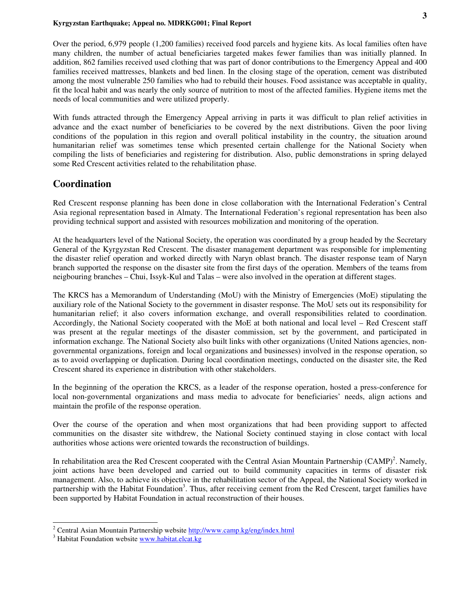Over the period, 6,979 people (1,200 families) received food parcels and hygiene kits. As local families often have many children, the number of actual beneficiaries targeted makes fewer families than was initially planned. In addition, 862 families received used clothing that was part of donor contributions to the Emergency Appeal and 400 families received mattresses, blankets and bed linen. In the closing stage of the operation, cement was distributed among the most vulnerable 250 families who had to rebuild their houses. Food assistance was acceptable in quality, fit the local habit and was nearly the only source of nutrition to most of the affected families. Hygiene items met the needs of local communities and were utilized properly.

With funds attracted through the Emergency Appeal arriving in parts it was difficult to plan relief activities in advance and the exact number of beneficiaries to be covered by the next distributions. Given the poor living conditions of the population in this region and overall political instability in the country, the situation around humanitarian relief was sometimes tense which presented certain challenge for the National Society when compiling the lists of beneficiaries and registering for distribution. Also, public demonstrations in spring delayed some Red Crescent activities related to the rehabilitation phase.

#### **Coordination**

Red Crescent response planning has been done in close collaboration with the International Federation's Central Asia regional representation based in Almaty. The International Federation's regional representation has been also providing technical support and assisted with resources mobilization and monitoring of the operation.

At the headquarters level of the National Society, the operation was coordinated by a group headed by the Secretary General of the Kyrgyzstan Red Crescent. The disaster management department was responsible for implementing the disaster relief operation and worked directly with Naryn oblast branch. The disaster response team of Naryn branch supported the response on the disaster site from the first days of the operation. Members of the teams from neigbouring branches – Chui, Issyk-Kul and Talas – were also involved in the operation at different stages.

The KRCS has a Memorandum of Understanding (MoU) with the Ministry of Emergencies (MoE) stipulating the auxiliary role of the National Society to the government in disaster response. The MoU sets out its responsibility for humanitarian relief; it also covers information exchange, and overall responsibilities related to coordination. Accordingly, the National Society cooperated with the MoE at both national and local level – Red Crescent staff was present at the regular meetings of the disaster commission, set by the government, and participated in information exchange. The National Society also built links with other organizations (United Nations agencies, nongovernmental organizations, foreign and local organizations and businesses) involved in the response operation, so as to avoid overlapping or duplication. During local coordination meetings, conducted on the disaster site, the Red Crescent shared its experience in distribution with other stakeholders.

In the beginning of the operation the KRCS, as a leader of the response operation, hosted a press-conference for local non-governmental organizations and mass media to advocate for beneficiaries' needs, align actions and maintain the profile of the response operation.

Over the course of the operation and when most organizations that had been providing support to affected communities on the disaster site withdrew, the National Society continued staying in close contact with local authorities whose actions were oriented towards the reconstruction of buildings.

In rehabilitation area the Red Crescent cooperated with the Central Asian Mountain Partnership (CAMP)<sup>2</sup>. Namely, joint actions have been developed and carried out to build community capacities in terms of disaster risk management. Also, to achieve its objective in the rehabilitation sector of the Appeal, the National Society worked in partnership with the Habitat Foundation<sup>3</sup>. Thus, after receiving cement from the Red Crescent, target families have been supported by Habitat Foundation in actual reconstruction of their houses.

<sup>&</sup>lt;sup>2</sup> Central Asian Mountain Partnership website **http://www.camp.kg/eng/index.html** 

<sup>&</sup>lt;sup>3</sup> Habitat Foundation website [www.habitat.elcat.kg](http://www.habitat.elcat.kg/website/index.htm)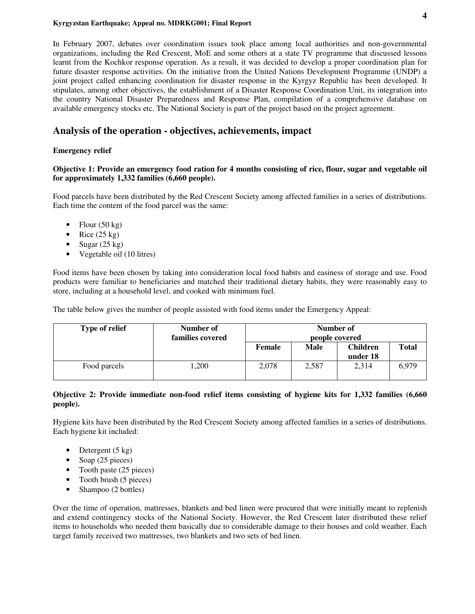In February 2007, debates over coordination issues took place among local authorities and non-governmental organizations, including the Red Crescent, MoE and some others at a state TV programme that discussed lessons learnt from the Kochkor response operation. As a result, it was decided to develop a proper coordination plan for future disaster response activities. On the initiative from the United Nations Development Programme (UNDP) a joint project called enhancing coordination for disaster response in the Kyrgyz Republic has been developed. It stipulates, among other objectives, the establishment of a Disaster Response Coordination Unit, its integration into the country National Disaster Preparedness and Response Plan, compilation of a comprehensive database on available emergency stocks etc. The National Society is part of the project based on the project agreement.

### **Analysis of the operation - objectives, achievements, impact**

#### **Emergency relief**

#### **Objective 1: Provide an emergency food ration for 4 months consisting of rice, flour, sugar and vegetable oil for approximately 1,332 families (6,660 people).**

Food parcels have been distributed by the Red Crescent Society among affected families in a series of distributions. Each time the content of the food parcel was the same:

- Flour  $(50 \text{ kg})$
- Rice  $(25 \text{ kg})$
- Sugar  $(25 \text{ kg})$
- Vegetable oil (10 litres)

Food items have been chosen by taking into consideration local food habits and easiness of storage and use. Food products were familiar to beneficiaries and matched their traditional dietary habits, they were reasonably easy to store, including at a household level, and cooked with minimum fuel.

The table below gives the number of people assisted with food items under the Emergency Appeal:

| <b>Type of relief</b> | Number of<br>families covered | Number of<br>people covered |             |                             |              |
|-----------------------|-------------------------------|-----------------------------|-------------|-----------------------------|--------------|
|                       |                               | Female                      | <b>Male</b> | <b>Children</b><br>under 18 | <b>Total</b> |
| Food parcels          | ,200                          | 2,078                       | 2,587       | 2,314                       | 6,979        |

#### **Objective 2: Provide immediate non-food relief items consisting of hygiene kits for 1,332 families (6,660 people).**

Hygiene kits have been distributed by the Red Crescent Society among affected families in a series of distributions. Each hygiene kit included:

- Detergent  $(5 \text{ kg})$
- Soap (25 pieces)
- Tooth paste (25 pieces)
- Tooth brush (5 pieces)
- Shampoo (2 bottles)

Over the time of operation, mattresses, blankets and bed linen were procured that were initially meant to replenish and extend contingency stocks of the National Society. However, the Red Crescent later distributed these relief items to households who needed them basically due to considerable damage to their houses and cold weather. Each target family received two mattresses, two blankets and two sets of bed linen.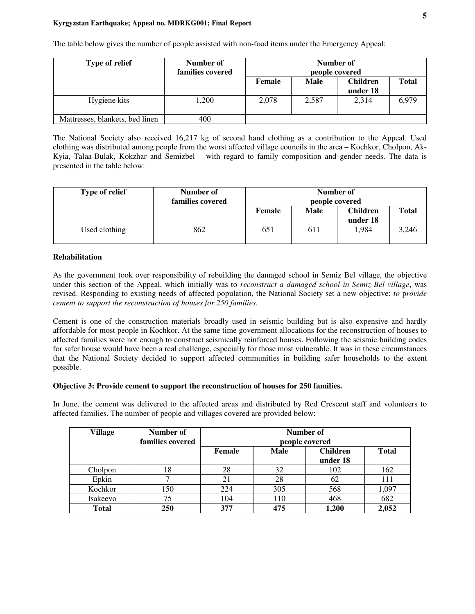The table below gives the number of people assisted with non-food items under the Emergency Appeal:

| <b>Type of relief</b>           | Number of<br>families covered | Number of<br>people covered |             |                             |              |
|---------------------------------|-------------------------------|-----------------------------|-------------|-----------------------------|--------------|
|                                 |                               | Female                      | <b>Male</b> | <b>Children</b><br>under 18 | <b>Total</b> |
| Hygiene kits                    | 1,200                         | 2.078                       | 2,587       | 2,314                       | 6,979        |
| Mattresses, blankets, bed linen | 400                           |                             |             |                             |              |

The National Society also received 16,217 kg of second hand clothing as a contribution to the Appeal. Used clothing was distributed among people from the worst affected village councils in the area – Kochkor, Cholpon, Ak-Kyia, Talaa-Bulak, Kokzhar and Semizbel – with regard to family composition and gender needs. The data is presented in the table below:

| <b>Type of relief</b> | Number of<br>families covered | Number of<br>people covered |             |                             |              |
|-----------------------|-------------------------------|-----------------------------|-------------|-----------------------------|--------------|
|                       |                               | Female                      | <b>Male</b> | <b>Children</b><br>under 18 | <b>Total</b> |
| Used clothing         | 862                           | 651                         | 611         | 1,984                       | 3,246        |

#### **Rehabilitation**

As the government took over responsibility of rebuilding the damaged school in Semiz Bel village, the objective under this section of the Appeal, which initially was to *reconstruct a damaged school in Semiz Bel village*, was revised. Responding to existing needs of affected population, the National Society set a new objective: *to* p*rovide cement to support the reconstruction of houses for 250 families*.

Cement is one of the construction materials broadly used in seismic building but is also expensive and hardly affordable for most people in Kochkor. At the same time government allocations for the reconstruction of houses to affected families were not enough to construct seismically reinforced houses. Following the seismic building codes for safer house would have been a real challenge, especially for those most vulnerable. It was in these circumstances that the National Society decided to support affected communities in building safer households to the extent possible.

#### **Objective 3: Provide cement to support the reconstruction of houses for 250 families.**

In June, the cement was delivered to the affected areas and distributed by Red Crescent staff and volunteers to affected families. The number of people and villages covered are provided below:

| <b>Village</b> | Number of<br>families covered | Number of<br>people covered |             |                             |              |  |  |
|----------------|-------------------------------|-----------------------------|-------------|-----------------------------|--------------|--|--|
|                |                               | Female                      | <b>Male</b> | <b>Children</b><br>under 18 | <b>Total</b> |  |  |
| Cholpon        | 18                            | 28                          | 32          | 102                         | 162          |  |  |
| Epkin          |                               | 21                          | 28          | 62                          | 111          |  |  |
| Kochkor        | 150                           | 224                         | 305         | 568                         | 1,097        |  |  |
| Isakeevo       | 75                            | 104                         | 110         | 468                         | 682          |  |  |
| <b>Total</b>   | 250                           | 377                         | 475         | 1,200                       | 2,052        |  |  |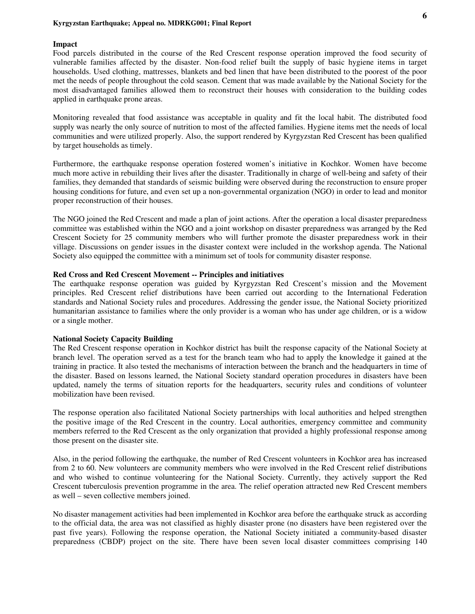#### **Impact**

Food parcels distributed in the course of the Red Crescent response operation improved the food security of vulnerable families affected by the disaster. Non-food relief built the supply of basic hygiene items in target households. Used clothing, mattresses, blankets and bed linen that have been distributed to the poorest of the poor met the needs of people throughout the cold season. Cement that was made available by the National Society for the most disadvantaged families allowed them to reconstruct their houses with consideration to the building codes applied in earthquake prone areas.

Monitoring revealed that food assistance was acceptable in quality and fit the local habit. The distributed food supply was nearly the only source of nutrition to most of the affected families. Hygiene items met the needs of local communities and were utilized properly. Also, the support rendered by Kyrgyzstan Red Crescent has been qualified by target households as timely.

Furthermore, the earthquake response operation fostered women's initiative in Kochkor. Women have become much more active in rebuilding their lives after the disaster. Traditionally in charge of well-being and safety of their families, they demanded that standards of seismic building were observed during the reconstruction to ensure proper housing conditions for future, and even set up a non-governmental organization (NGO) in order to lead and monitor proper reconstruction of their houses.

The NGO joined the Red Crescent and made a plan of joint actions. After the operation a local disaster preparedness committee was established within the NGO and a joint workshop on disaster preparedness was arranged by the Red Crescent Society for 25 community members who will further promote the disaster preparedness work in their village. Discussions on gender issues in the disaster context were included in the workshop agenda. The National Society also equipped the committee with a minimum set of tools for community disaster response.

#### **Red Cross and Red Crescent Movement -- Principles and initiatives**

The earthquake response operation was guided by Kyrgyzstan Red Crescent's mission and the Movement principles. Red Crescent relief distributions have been carried out according to the International Federation standards and National Society rules and procedures. Addressing the gender issue, the National Society prioritized humanitarian assistance to families where the only provider is a woman who has under age children, or is a widow or a single mother.

#### **National Society Capacity Building**

The Red Crescent response operation in Kochkor district has built the response capacity of the National Society at branch level. The operation served as a test for the branch team who had to apply the knowledge it gained at the training in practice. It also tested the mechanisms of interaction between the branch and the headquarters in time of the disaster. Based on lessons learned, the National Society standard operation procedures in disasters have been updated, namely the terms of situation reports for the headquarters, security rules and conditions of volunteer mobilization have been revised.

The response operation also facilitated National Society partnerships with local authorities and helped strengthen the positive image of the Red Crescent in the country. Local authorities, emergency committee and community members referred to the Red Crescent as the only organization that provided a highly professional response among those present on the disaster site.

Also, in the period following the earthquake, the number of Red Crescent volunteers in Kochkor area has increased from 2 to 60. New volunteers are community members who were involved in the Red Crescent relief distributions and who wished to continue volunteering for the National Society. Currently, they actively support the Red Crescent tuberculosis prevention programme in the area. The relief operation attracted new Red Crescent members as well – seven collective members joined.

No disaster management activities had been implemented in Kochkor area before the earthquake struck as according to the official data, the area was not classified as highly disaster prone (no disasters have been registered over the past five years). Following the response operation, the National Society initiated a community-based disaster preparedness (CBDP) project on the site. There have been seven local disaster committees comprising 140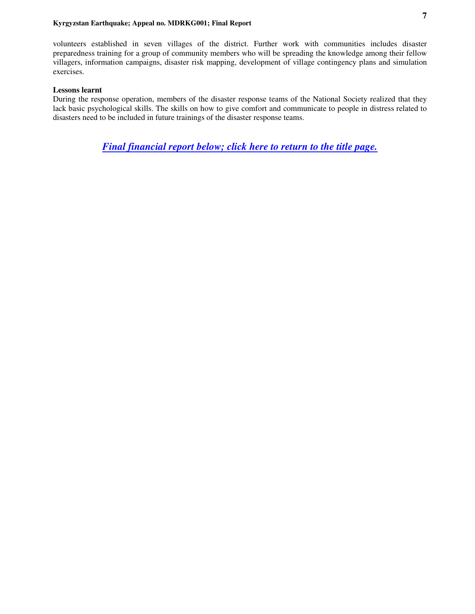<span id="page-6-0"></span>volunteers established in seven villages of the district. Further work with communities includes disaster preparedness training for a group of community members who will be spreading the knowledge among their fellow villagers, information campaigns, disaster risk mapping, development of village contingency plans and simulation exercises.

#### **Lessons learnt**

During the response operation, members of the disaster response teams of the National Society realized that they lack basic psychological skills. The skills on how to give comfort and communicate to people in distress related to disasters need to be included in future trainings of the disaster response teams.

*Final financial report below; [click here to return to the title page.](#page-0-0)*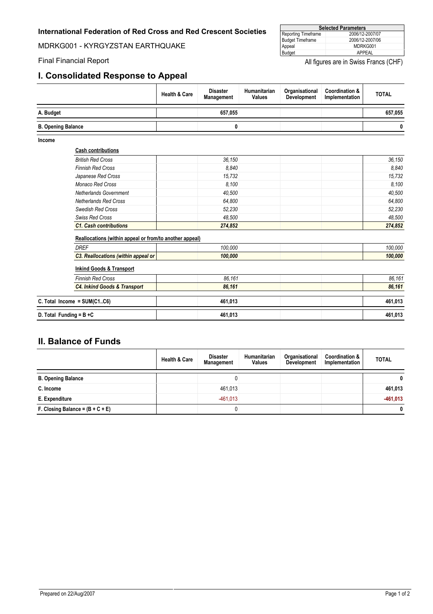#### **International Federation of Red Cross and Red Crescent Societies**

MDRKG001 - KYRGYZSTAN EARTHQUAKE

### **I. Consolidated Response to Appeal**

| <b>Selected Parameters</b> |                 |  |  |  |  |
|----------------------------|-----------------|--|--|--|--|
| Reporting Timeframe        | 2006/12-2007/07 |  |  |  |  |
| <b>Budget Timeframe</b>    | 2006/12-2007/06 |  |  |  |  |
| Appeal                     | MDRKG001        |  |  |  |  |
| Budget                     | APPFAL          |  |  |  |  |

Final Financial Report **All figures are in Swiss Francs (CHF)** All figures are in Swiss Francs (CHF)

|                           |                                                         | <b>Health &amp; Care</b> | <b>Disaster</b><br>Management | Humanitarian<br><b>Values</b> | Organisational<br><b>Development</b> | <b>Coordination &amp;</b><br>Implementation | <b>TOTAL</b> |
|---------------------------|---------------------------------------------------------|--------------------------|-------------------------------|-------------------------------|--------------------------------------|---------------------------------------------|--------------|
| A. Budget                 |                                                         |                          | 657,055                       |                               |                                      |                                             | 657,055      |
| <b>B. Opening Balance</b> |                                                         |                          | 0                             |                               |                                      |                                             | 0            |
| Income                    | <b>Cash contributions</b>                               |                          |                               |                               |                                      |                                             |              |
|                           | <b>British Red Cross</b>                                |                          | 36,150                        |                               |                                      |                                             | 36,150       |
|                           | <b>Finnish Red Cross</b>                                |                          | 8,840                         |                               |                                      |                                             | 8,840        |
|                           | Japanese Red Cross                                      |                          | 15,732                        |                               |                                      |                                             | 15,732       |
|                           | Monaco Red Cross                                        |                          | 8.100                         |                               |                                      |                                             | 8,100        |
|                           | <b>Netherlands Government</b>                           |                          | 40,500                        |                               |                                      |                                             | 40,500       |
|                           | <b>Netherlands Red Cross</b>                            |                          | 64,800                        |                               |                                      |                                             | 64,800       |
|                           | <b>Swedish Red Cross</b>                                |                          | 52,230                        |                               |                                      |                                             | 52,230       |
|                           | <b>Swiss Red Cross</b>                                  |                          | 48,500                        |                               |                                      |                                             | 48,500       |
|                           | <b>C1. Cash contributions</b>                           |                          | 274,852                       |                               |                                      |                                             | 274,852      |
|                           | Reallocations (within appeal or from/to another appeal) |                          |                               |                               |                                      |                                             |              |
|                           | <b>DREF</b>                                             |                          | 100.000                       |                               |                                      |                                             | 100,000      |
|                           | C3. Reallocations (within appeal or                     |                          | 100,000                       |                               |                                      |                                             | 100,000      |
|                           | <b>Inkind Goods &amp; Transport</b>                     |                          |                               |                               |                                      |                                             |              |
|                           | <b>Finnish Red Cross</b>                                |                          | 86,161                        |                               |                                      |                                             | 86,161       |
|                           | <b>C4. Inkind Goods &amp; Transport</b>                 |                          | 86,161                        |                               |                                      |                                             | 86,161       |
|                           | C. Total Income = $SUM(C1C6)$                           |                          | 461.013                       |                               |                                      |                                             | 461,013      |

| U. IULAI IIILUIIIE - JUIIILUIUUI | 401.013 | 40 I.V I J |
|----------------------------------|---------|------------|
|                                  |         |            |
| D. Total Funding = $B + C$       | 461.013 | 461.013    |
|                                  |         |            |

## **II. Balance of Funds**

|                                    | <b>Health &amp; Care</b> | <b>Disaster</b><br><b>Management</b> | Humanitarian<br>Values | Organisational<br><b>Development</b> | Coordination &<br>Implementation | <b>TOTAL</b> |
|------------------------------------|--------------------------|--------------------------------------|------------------------|--------------------------------------|----------------------------------|--------------|
| <b>B. Opening Balance</b>          |                          | υ                                    |                        |                                      |                                  | 0            |
| C. Income                          |                          | 461,013                              |                        |                                      |                                  | 461,013      |
| E. Expenditure                     |                          | $-461.013$                           |                        |                                      |                                  | $-461,013$   |
| F. Closing Balance = $(B + C + E)$ |                          | 0                                    |                        |                                      |                                  | $\mathbf{0}$ |